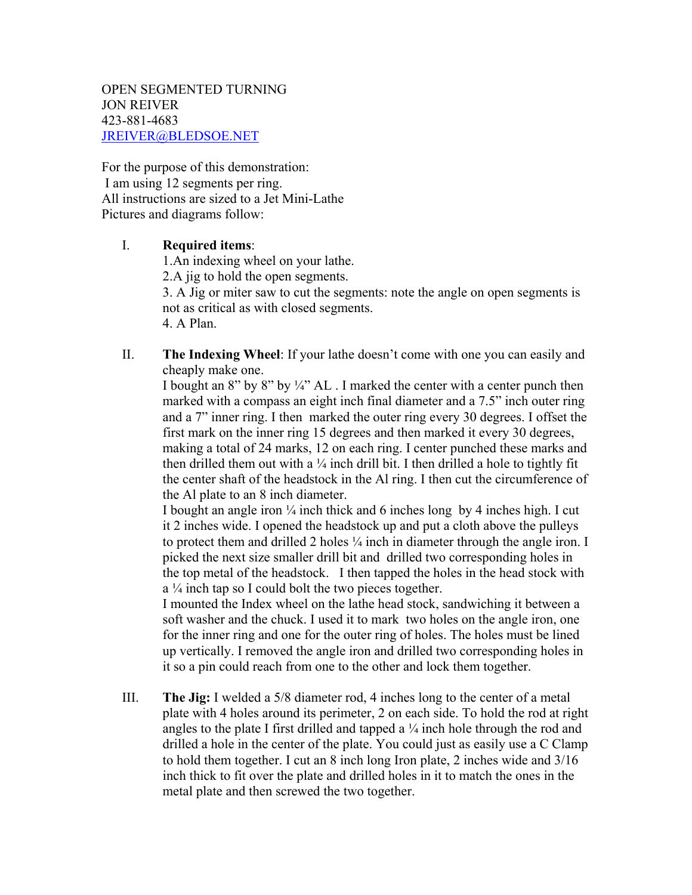OPEN SEGMENTED TURNING JON REIVER 423-881-4683 JREIVER@BLEDSOE.NET

For the purpose of this demonstration: I am using 12 segments per ring. All instructions are sized to a Jet Mini-Lathe Pictures and diagrams follow:

## I. **Required items**:

1.An indexing wheel on your lathe.

2.A jig to hold the open segments.

3. A Jig or miter saw to cut the segments: note the angle on open segments is not as critical as with closed segments. 4. A Plan.

II. **The Indexing Wheel**: If your lathe doesn't come with one you can easily and cheaply make one.

I bought an 8" by 8" by ¼" AL . I marked the center with a center punch then marked with a compass an eight inch final diameter and a 7.5" inch outer ring and a 7" inner ring. I then marked the outer ring every 30 degrees. I offset the first mark on the inner ring 15 degrees and then marked it every 30 degrees, making a total of 24 marks, 12 on each ring. I center punched these marks and then drilled them out with a  $\frac{1}{4}$  inch drill bit. I then drilled a hole to tightly fit the center shaft of the headstock in the Al ring. I then cut the circumference of the Al plate to an 8 inch diameter.

I bought an angle iron  $\frac{1}{4}$  inch thick and 6 inches long by 4 inches high. I cut it 2 inches wide. I opened the headstock up and put a cloth above the pulleys to protect them and drilled 2 holes ¼ inch in diameter through the angle iron. I picked the next size smaller drill bit and drilled two corresponding holes in the top metal of the headstock. I then tapped the holes in the head stock with  $a<sup>1</sup>/<sub>4</sub>$  inch tap so I could bolt the two pieces together.

I mounted the Index wheel on the lathe head stock, sandwiching it between a soft washer and the chuck. I used it to mark two holes on the angle iron, one for the inner ring and one for the outer ring of holes. The holes must be lined up vertically. I removed the angle iron and drilled two corresponding holes in it so a pin could reach from one to the other and lock them together.

III. **The Jig:** I welded a 5/8 diameter rod, 4 inches long to the center of a metal plate with 4 holes around its perimeter, 2 on each side. To hold the rod at right angles to the plate I first drilled and tapped a  $\frac{1}{4}$  inch hole through the rod and drilled a hole in the center of the plate. You could just as easily use a C Clamp to hold them together. I cut an 8 inch long Iron plate, 2 inches wide and 3/16 inch thick to fit over the plate and drilled holes in it to match the ones in the metal plate and then screwed the two together.